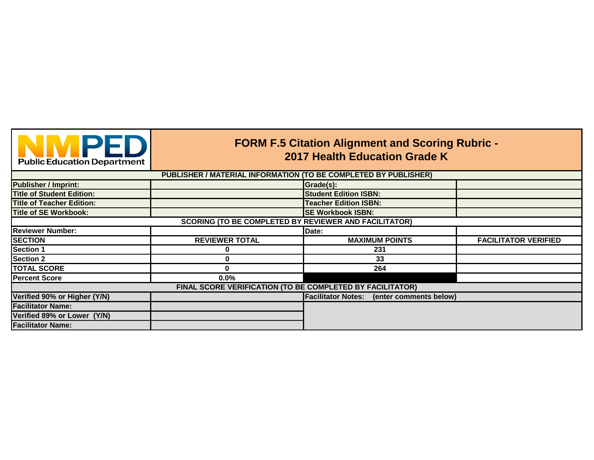|  |  | <b>Public Education Department</b> |
|--|--|------------------------------------|

## **FORM F.5 Citation Alignment and Scoring Rubric - 2017 Health Education Grade K**

|                                  | PUBLISHER / MATERIAL INFORMATION (TO BE COMPLETED BY PUBLISHER) |                                                  |                             |
|----------------------------------|-----------------------------------------------------------------|--------------------------------------------------|-----------------------------|
| <b>Publisher / Imprint:</b>      |                                                                 | Grade(s):                                        |                             |
| <b>Title of Student Edition:</b> |                                                                 | <b>Student Edition ISBN:</b>                     |                             |
| <b>Title of Teacher Edition:</b> |                                                                 | <b>Teacher Edition ISBN:</b>                     |                             |
| Title of SE Workbook:            |                                                                 | <b>SE Workbook ISBN:</b>                         |                             |
|                                  | <b>SCORING (TO BE COMPLETED BY REVIEWER AND FACILITATOR)</b>    |                                                  |                             |
| <b>Reviewer Number:</b>          |                                                                 | Date:                                            |                             |
| <b>SECTION</b>                   | <b>REVIEWER TOTAL</b>                                           | <b>MAXIMUM POINTS</b>                            | <b>FACILITATOR VERIFIED</b> |
| <b>Section 1</b>                 | 0                                                               | 231                                              |                             |
| <b>Section 2</b>                 | 0                                                               | 33                                               |                             |
| <b>TOTAL SCORE</b>               | 0                                                               | 264                                              |                             |
| <b>Percent Score</b>             | 0.0%                                                            |                                                  |                             |
|                                  | FINAL SCORE VERIFICATION (TO BE COMPLETED BY FACILITATOR)       |                                                  |                             |
| Verified 90% or Higher (Y/N)     |                                                                 | <b>Facilitator Notes:</b> (enter comments below) |                             |
| <b>Facilitator Name:</b>         |                                                                 |                                                  |                             |
| Verified 89% or Lower (Y/N)      |                                                                 |                                                  |                             |
| <b>Facilitator Name:</b>         |                                                                 |                                                  |                             |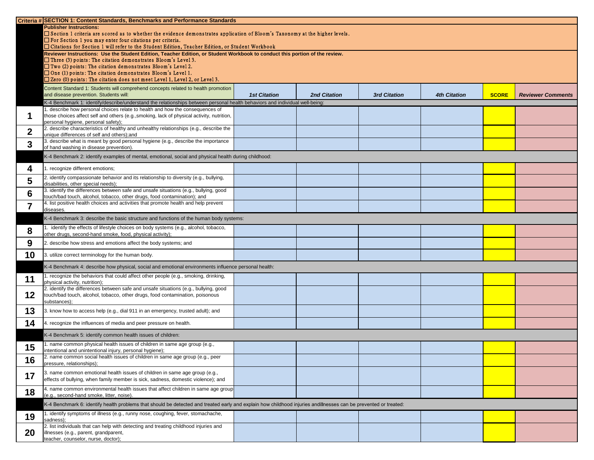|                  | Criteria # SECTION 1: Content Standards, Benchmarks and Performance Standards                                                                                                                    |                     |                     |                     |                     |              |                          |
|------------------|--------------------------------------------------------------------------------------------------------------------------------------------------------------------------------------------------|---------------------|---------------------|---------------------|---------------------|--------------|--------------------------|
|                  | <b>Publisher Instructions:</b>                                                                                                                                                                   |                     |                     |                     |                     |              |                          |
|                  | □ Section 1 criteria are scored as to whether the evidence demonstrates application of Bloom's Taxonomy at the higher levels.<br>$\Box$ For Section 1 you may enter four citations per criteria. |                     |                     |                     |                     |              |                          |
|                  | □ Citations for Section 1 will refer to the Student Edition, Teacher Edition, or Student Workbook                                                                                                |                     |                     |                     |                     |              |                          |
|                  | Reviewer Instructions: Use the Student Edition, Teacher Edition, or Student Workbook to conduct this portion of the review.                                                                      |                     |                     |                     |                     |              |                          |
|                  | $\Box$ Three (3) points: The citation demonstrates Bloom's Level 3.                                                                                                                              |                     |                     |                     |                     |              |                          |
|                  | $\Box$ Two (2) points: The citation demonstrates Bloom's Level 2.                                                                                                                                |                     |                     |                     |                     |              |                          |
|                  | $\Box$ One (1) points: The citation demonstrates Bloom's Level 1.<br>$\square$ Zero (0) points: The citation does not meet Level 1, Level 2, or Level 3.                                         |                     |                     |                     |                     |              |                          |
|                  |                                                                                                                                                                                                  |                     |                     |                     |                     |              |                          |
|                  | Content Standard 1: Students will comprehend concepts related to health promotion<br>and disease prevention. Students will:                                                                      | <b>1st Citation</b> | <b>2nd Citation</b> | <b>3rd Citation</b> | <b>4th Citation</b> | <b>SCORE</b> | <b>Reviewer Comments</b> |
|                  | K-4 Benchmark 1: identify/describe/understand the relationships between personal health behaviors and individual well-being:                                                                     |                     |                     |                     |                     |              |                          |
|                  | 1. describe how personal choices relate to health and how the consequences of                                                                                                                    |                     |                     |                     |                     |              |                          |
|                  | those choices affect self and others (e.g., smoking, lack of physical activity, nutrition,                                                                                                       |                     |                     |                     |                     |              |                          |
|                  | personal hygiene, personal safety);                                                                                                                                                              |                     |                     |                     |                     |              |                          |
| $\boldsymbol{2}$ | 2. describe characteristics of healthy and unhealthy relationships (e.g., describe the                                                                                                           |                     |                     |                     |                     |              |                          |
|                  | unique differences of self and others); and<br>3. describe what is meant by good personal hygiene (e.g., describe the importance                                                                 |                     |                     |                     |                     |              |                          |
| $\boldsymbol{3}$ | of hand washing in disease prevention).                                                                                                                                                          |                     |                     |                     |                     |              |                          |
|                  | K-4 Benchmark 2: identify examples of mental, emotional, social and physical health during childhood:                                                                                            |                     |                     |                     |                     |              |                          |
|                  |                                                                                                                                                                                                  |                     |                     |                     |                     |              |                          |
| 4                | . recognize different emotions;                                                                                                                                                                  |                     |                     |                     |                     |              |                          |
| 5                | 2. identify compassionate behavior and its relationship to diversity (e.g., bullying,                                                                                                            |                     |                     |                     |                     |              |                          |
|                  | disabilities, other special needs);<br>3. identify the differences between safe and unsafe situations (e.g., bullying, good                                                                      |                     |                     |                     |                     |              |                          |
| 6                | touch/bad touch, alcohol, tobacco, other drugs, food contamination); and                                                                                                                         |                     |                     |                     |                     |              |                          |
| 7                | 4. list positive health choices and activities that promote health and help prevent<br>diseases.                                                                                                 |                     |                     |                     |                     |              |                          |
|                  | K-4 Benchmark 3: describe the basic structure and functions of the human body systems:                                                                                                           |                     |                     |                     |                     |              |                          |
|                  | identify the effects of lifestyle choices on body systems (e.g., alcohol, tobacco,                                                                                                               |                     |                     |                     |                     |              |                          |
| 8                | other drugs, second-hand smoke, food, physical activity);                                                                                                                                        |                     |                     |                     |                     |              |                          |
| 9                | 2. describe how stress and emotions affect the body systems; and                                                                                                                                 |                     |                     |                     |                     |              |                          |
| 10               | 3. utilize correct terminology for the human body.                                                                                                                                               |                     |                     |                     |                     |              |                          |
|                  | K-4 Benchmark 4: describe how physical, social and emotional environments influence personal health:                                                                                             |                     |                     |                     |                     |              |                          |
| 11               | recognize the behaviors that could affect other people (e.g., smoking, drinking,                                                                                                                 |                     |                     |                     |                     |              |                          |
|                  | physical activity, nutrition);<br>2. identify the differences between safe and unsafe situations (e.g., bullying, good                                                                           |                     |                     |                     |                     |              |                          |
| 12               | touch/bad touch, alcohol, tobacco, other drugs, food contamination, poisonous                                                                                                                    |                     |                     |                     |                     |              |                          |
|                  | substances);                                                                                                                                                                                     |                     |                     |                     |                     |              |                          |
| 13               | 3. know how to access help (e.g., dial 911 in an emergency, trusted adult); and                                                                                                                  |                     |                     |                     |                     |              |                          |
| 14               | 4. recognize the influences of media and peer pressure on health.                                                                                                                                |                     |                     |                     |                     |              |                          |
|                  | K-4 Benchmark 5: identify common health issues of children:                                                                                                                                      |                     |                     |                     |                     |              |                          |
| 15               | . name common physical health issues of children in same age group (e.g.,                                                                                                                        |                     |                     |                     |                     |              |                          |
|                  | intentional and unintentional injury, personal hygiene);<br>2. name common social health issues of children in same age group (e.g., peer                                                        |                     |                     |                     |                     |              |                          |
| 16               | pressure, relationships);                                                                                                                                                                        |                     |                     |                     |                     |              |                          |
| 17               | 3. name common emotional health issues of children in same age group (e.g.,                                                                                                                      |                     |                     |                     |                     |              |                          |
|                  | effects of bullying, when family member is sick, sadness, domestic violence); and                                                                                                                |                     |                     |                     |                     |              |                          |
| 18               | 4. name common environmental health issues that affect children in same age group                                                                                                                |                     |                     |                     |                     |              |                          |
|                  | (e.g., second-hand smoke, litter, noise).                                                                                                                                                        |                     |                     |                     |                     |              |                          |
|                  | K-4 Benchmark 6: identify health problems that should be detected and treated early and explain how childhood injuries andillnesses can be prevented or treated:                                 |                     |                     |                     |                     |              |                          |
| 19               | . identify symptoms of illness (e.g., runny nose, coughing, fever, stomachache,<br>sadness);                                                                                                     |                     |                     |                     |                     |              |                          |
|                  | 2. list individuals that can help with detecting and treating childhood injuries and                                                                                                             |                     |                     |                     |                     |              |                          |
| <b>20</b>        | illnesses (e.g., parent, grandparent,                                                                                                                                                            |                     |                     |                     |                     |              |                          |
|                  | teacher, counselor, nurse, doctor);                                                                                                                                                              |                     |                     |                     |                     |              |                          |

| <b>4th Citation</b> | <b>SCORE</b> | <b>Reviewer Comments</b> |
|---------------------|--------------|--------------------------|
|                     |              |                          |
|                     |              |                          |
|                     |              |                          |
|                     |              |                          |
|                     |              |                          |
|                     |              |                          |
|                     |              |                          |
|                     |              |                          |
|                     |              |                          |
|                     |              |                          |
|                     |              |                          |
|                     |              |                          |
|                     |              |                          |
|                     |              |                          |
|                     |              |                          |
|                     |              |                          |
|                     |              |                          |
|                     |              |                          |
|                     |              |                          |
|                     |              |                          |
|                     |              |                          |
|                     |              |                          |
|                     |              |                          |
|                     |              |                          |
|                     |              |                          |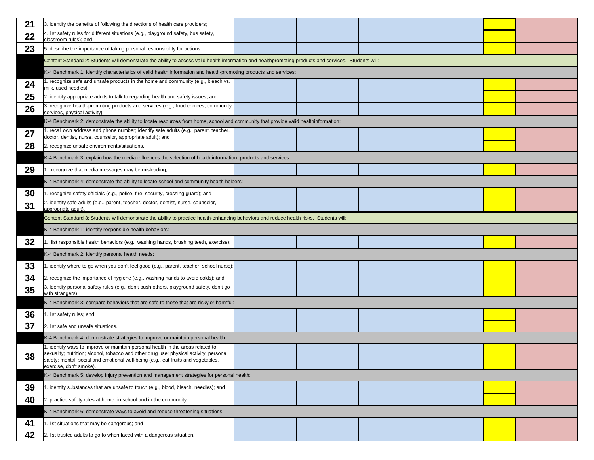| 21 | 3. identify the benefits of following the directions of health care providers;                                                                                                                                                                                                            |  |  |
|----|-------------------------------------------------------------------------------------------------------------------------------------------------------------------------------------------------------------------------------------------------------------------------------------------|--|--|
| 22 | 4. list safety rules for different situations (e.g., playground safety, bus safety,<br>classroom rules); and                                                                                                                                                                              |  |  |
| 23 | 5. describe the importance of taking personal responsibility for actions.                                                                                                                                                                                                                 |  |  |
|    | Content Standard 2: Students will demonstrate the ability to access valid health information and healthpromoting products and services. Students will:                                                                                                                                    |  |  |
|    | K-4 Benchmark 1: identify characteristics of valid health information and health-promoting products and services:                                                                                                                                                                         |  |  |
| 24 | 1. recognize safe and unsafe products in the home and community (e.g., bleach vs.<br>milk, used needles);                                                                                                                                                                                 |  |  |
| 25 | 2. identify appropriate adults to talk to regarding health and safety issues; and                                                                                                                                                                                                         |  |  |
| 26 | 3. recognize health-promoting products and services (e.g., food choices, community<br>services, physical activity).                                                                                                                                                                       |  |  |
|    | K-4 Benchmark 2: demonstrate the ability to locate resources from home, school and community that provide valid healthinformation:                                                                                                                                                        |  |  |
| 27 | 1. recall own address and phone number; identify safe adults (e.g., parent, teacher,<br>doctor, dentist, nurse, counselor, appropriate adult); and                                                                                                                                        |  |  |
| 28 | 2. recognize unsafe environments/situations.                                                                                                                                                                                                                                              |  |  |
|    | K-4 Benchmark 3: explain how the media influences the selection of health information, products and services:                                                                                                                                                                             |  |  |
| 29 | recognize that media messages may be misleading;                                                                                                                                                                                                                                          |  |  |
|    | K-4 Benchmark 4: demonstrate the ability to locate school and community health helpers:                                                                                                                                                                                                   |  |  |
| 30 | 1. recognize safety officials (e.g., police, fire, security, crossing guard); and                                                                                                                                                                                                         |  |  |
| 31 | 2. identify safe adults (e.g., parent, teacher, doctor, dentist, nurse, counselor,<br>appropriate adult).                                                                                                                                                                                 |  |  |
|    | Content Standard 3: Students will demonstrate the ability to practice health-enhancing behaviors and reduce health risks. Students will:                                                                                                                                                  |  |  |
|    | K-4 Benchmark 1: identify responsible health behaviors:                                                                                                                                                                                                                                   |  |  |
| 32 | list responsible health behaviors (e.g., washing hands, brushing teeth, exercise);                                                                                                                                                                                                        |  |  |
|    | K-4 Benchmark 2: identify personal health needs:                                                                                                                                                                                                                                          |  |  |
| 33 | 1. identify where to go when you don't feel good (e.g., parent, teacher, school nurse);                                                                                                                                                                                                   |  |  |
| 34 | 2. recognize the importance of hygiene (e.g., washing hands to avoid colds); and                                                                                                                                                                                                          |  |  |
| 35 | 3. identify personal safety rules (e.g., don't push others, playground safety, don't go<br>with strangers).                                                                                                                                                                               |  |  |
|    | K-4 Benchmark 3: compare behaviors that are safe to those that are risky or harmful:                                                                                                                                                                                                      |  |  |
| 36 | 1. list safety rules; and                                                                                                                                                                                                                                                                 |  |  |
| 37 | 2. list safe and unsafe situations.                                                                                                                                                                                                                                                       |  |  |
|    | K-4 Benchmark 4: demonstrate strategies to improve or maintain personal health:                                                                                                                                                                                                           |  |  |
| 38 | 1. identify ways to improve or maintain personal health in the areas related to<br>sexuality; nutrition; alcohol, tobacco and other drug use; physical activity; personal<br>safety; mental, social and emotional well-being (e.g., eat fruits and vegetables,<br>exercise, don't smoke). |  |  |
|    | K-4 Benchmark 5: develop injury prevention and management strategies for personal health:                                                                                                                                                                                                 |  |  |
| 39 | 1. identify substances that are unsafe to touch (e.g., blood, bleach, needles); and                                                                                                                                                                                                       |  |  |
| 40 | 2. practice safety rules at home, in school and in the community.                                                                                                                                                                                                                         |  |  |
|    | K-4 Benchmark 6: demonstrate ways to avoid and reduce threatening situations:                                                                                                                                                                                                             |  |  |
| 41 | 1. list situations that may be dangerous; and                                                                                                                                                                                                                                             |  |  |
| 42 | 2. list trusted adults to go to when faced with a dangerous situation.                                                                                                                                                                                                                    |  |  |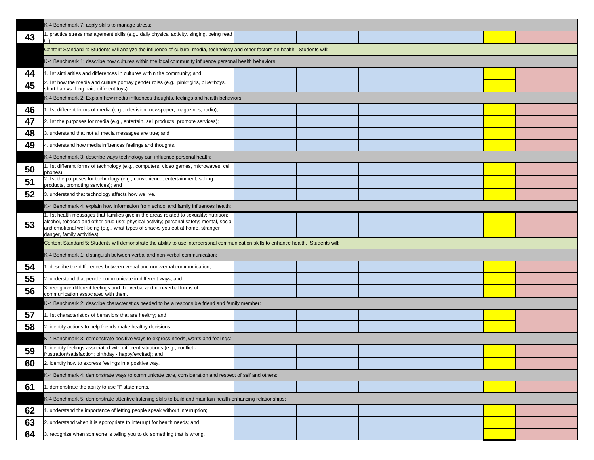|    | K-4 Benchmark 7: apply skills to manage stress:                                                                                                                                                                                                                                                      |  |  |
|----|------------------------------------------------------------------------------------------------------------------------------------------------------------------------------------------------------------------------------------------------------------------------------------------------------|--|--|
| 43 | 1. practice stress management skills (e.g., daily physical activity, singing, being read<br>to).                                                                                                                                                                                                     |  |  |
|    | Content Standard 4: Students will analyze the influence of culture, media, technology and other factors on health. Students will:                                                                                                                                                                    |  |  |
|    | K-4 Benchmark 1: describe how cultures within the local community influence personal health behaviors:                                                                                                                                                                                               |  |  |
| 44 | 1. list similarities and differences in cultures within the community; and                                                                                                                                                                                                                           |  |  |
| 45 | 2. list how the media and culture portray gender roles (e.g., pink=girls, blue=boys,<br>short hair vs. long hair, different toys).                                                                                                                                                                   |  |  |
|    | K-4 Benchmark 2: Explain how media influences thoughts, feelings and health behaviors:                                                                                                                                                                                                               |  |  |
| 46 | 1. list different forms of media (e.g., television, newspaper, magazines, radio);                                                                                                                                                                                                                    |  |  |
| 47 | 2. list the purposes for media (e.g., entertain, sell products, promote services);                                                                                                                                                                                                                   |  |  |
| 48 | 3. understand that not all media messages are true; and                                                                                                                                                                                                                                              |  |  |
| 49 | 4. understand how media influences feelings and thoughts.                                                                                                                                                                                                                                            |  |  |
|    | K-4 Benchmark 3: describe ways technology can influence personal health:                                                                                                                                                                                                                             |  |  |
| 50 | 1. list different forms of technology (e.g., computers, video games, microwaves, cell<br>phones);                                                                                                                                                                                                    |  |  |
| 51 | 2. list the purposes for technology (e.g., convenience, entertainment, selling<br>products, promoting services); and                                                                                                                                                                                 |  |  |
| 52 | 3. understand that technology affects how we live.                                                                                                                                                                                                                                                   |  |  |
|    | K-4 Benchmark 4: explain how information from school and family influences health:                                                                                                                                                                                                                   |  |  |
| 53 | 1. list health messages that families give in the areas related to sexuality; nutrition;<br>alcohol, tobacco and other drug use; physical activity; personal safety; mental, social<br>and emotional well-being (e.g., what types of snacks you eat at home, stranger<br>danger, family activities). |  |  |
|    | Content Standard 5: Students will demonstrate the ability to use interpersonal communication skills to enhance health. Students will:                                                                                                                                                                |  |  |
|    | K-4 Benchmark 1: distinguish between verbal and non-verbal communication:                                                                                                                                                                                                                            |  |  |
| 54 | 1. describe the differences between verbal and non-verbal communication;                                                                                                                                                                                                                             |  |  |
| 55 | 2. understand that people communicate in different ways; and                                                                                                                                                                                                                                         |  |  |
| 56 | 3. recognize different feelings and the verbal and non-verbal forms of<br>communication associated with them.                                                                                                                                                                                        |  |  |
|    | K-4 Benchmark 2: describe characteristics needed to be a responsible friend and family member:                                                                                                                                                                                                       |  |  |
| 57 | 1. list characteristics of behaviors that are healthy; and                                                                                                                                                                                                                                           |  |  |
| 58 | 2. identify actions to help friends make healthy decisions.                                                                                                                                                                                                                                          |  |  |
|    | K-4 Benchmark 3: demonstrate positive ways to express needs, wants and feelings:                                                                                                                                                                                                                     |  |  |
| 59 | 1. identify feelings associated with different situations (e.g., conflict -<br>frustration/satisfaction; birthday - happy/excited); and                                                                                                                                                              |  |  |
| 60 | 2. identify how to express feelings in a positive way.                                                                                                                                                                                                                                               |  |  |
|    | K-4 Benchmark 4: demonstrate ways to communicate care, consideration and respect of self and others:                                                                                                                                                                                                 |  |  |
| 61 | 1. demonstrate the ability to use "I" statements.                                                                                                                                                                                                                                                    |  |  |
|    | K-4 Benchmark 5: demonstrate attentive listening skills to build and maintain health-enhancing relationships:                                                                                                                                                                                        |  |  |
| 62 | 1. understand the importance of letting people speak without interruption;                                                                                                                                                                                                                           |  |  |
| 63 | 2. understand when it is appropriate to interrupt for health needs; and                                                                                                                                                                                                                              |  |  |
| 64 | 3. recognize when someone is telling you to do something that is wrong.                                                                                                                                                                                                                              |  |  |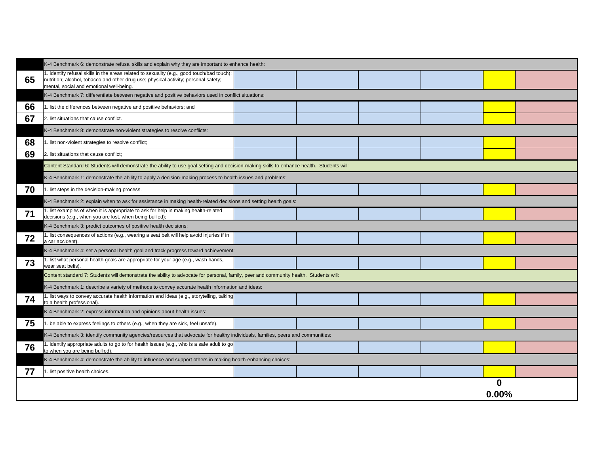|    | K-4 Benchmark 6: demonstrate refusal skills and explain why they are important to enhance health:                                                                                                                             |  |  |
|----|-------------------------------------------------------------------------------------------------------------------------------------------------------------------------------------------------------------------------------|--|--|
| 65 | 1. identify refusal skills in the areas related to sexuality (e.g., good touch/bad touch);<br>nutrition; alcohol, tobacco and other drug use; physical activity; personal safety;<br>mental, social and emotional well-being. |  |  |
|    | K-4 Benchmark 7: differentiate between negative and positive behaviors used in conflict situations:                                                                                                                           |  |  |
| 66 | 1. list the differences between negative and positive behaviors; and                                                                                                                                                          |  |  |
| 67 | 2. list situations that cause conflict.                                                                                                                                                                                       |  |  |
|    | K-4 Benchmark 8: demonstrate non-violent strategies to resolve conflicts:                                                                                                                                                     |  |  |
| 68 | 1. list non-violent strategies to resolve conflict;                                                                                                                                                                           |  |  |
| 69 | 2. list situations that cause conflict;                                                                                                                                                                                       |  |  |
|    | Content Standard 6: Students will demonstrate the ability to use goal-setting and decision-making skills to enhance health. Students will:                                                                                    |  |  |
|    | K-4 Benchmark 1: demonstrate the ability to apply a decision-making process to health issues and problems:                                                                                                                    |  |  |
| 70 | 1. list steps in the decision-making process.                                                                                                                                                                                 |  |  |
|    | K-4 Benchmark 2: explain when to ask for assistance in making health-related decisions and setting health goals:                                                                                                              |  |  |
| 71 | 1. list examples of when it is appropriate to ask for help in making health-related<br>decisions (e.g., when you are lost, when being bullied);                                                                               |  |  |
|    | K-4 Benchmark 3: predict outcomes of positive health decisions:                                                                                                                                                               |  |  |
| 72 | 1. list consequences of actions (e.g., wearing a seat belt will help avoid injuries if in<br>a car accident).                                                                                                                 |  |  |
|    | K-4 Benchmark 4: set a personal health goal and track progress toward achievement:                                                                                                                                            |  |  |
| 73 | 1. list what personal health goals are appropriate for your age (e.g., wash hands,<br>wear seat belts)                                                                                                                        |  |  |
|    | Content standard 7: Students will demonstrate the ability to advocate for personal, family, peer and community health. Students will:                                                                                         |  |  |
|    | K-4 Benchmark 1: describe a variety of methods to convey accurate health information and ideas:                                                                                                                               |  |  |
| 74 | 1. list ways to convey accurate health information and ideas (e.g., storytelling, talking<br>to a health professional).                                                                                                       |  |  |
|    | K-4 Benchmark 2: express information and opinions about health issues:                                                                                                                                                        |  |  |
| 75 | 1. be able to express feelings to others (e.g., when they are sick, feel unsafe).                                                                                                                                             |  |  |
|    | K-4 Benchmark 3: identify community agencies/resources that advocate for healthy individuals, families, peers and communities:                                                                                                |  |  |
| 76 | 1. identify appropriate adults to go to for health issues (e.g., who is a safe adult to go<br>to when you are being bullied).                                                                                                 |  |  |
|    | K-4 Benchmark 4: demonstrate the ability to influence and support others in making health-enhancing choices:                                                                                                                  |  |  |
| 77 | 1. list positive health choices.                                                                                                                                                                                              |  |  |
|    |                                                                                                                                                                                                                               |  |  |
|    |                                                                                                                                                                                                                               |  |  |

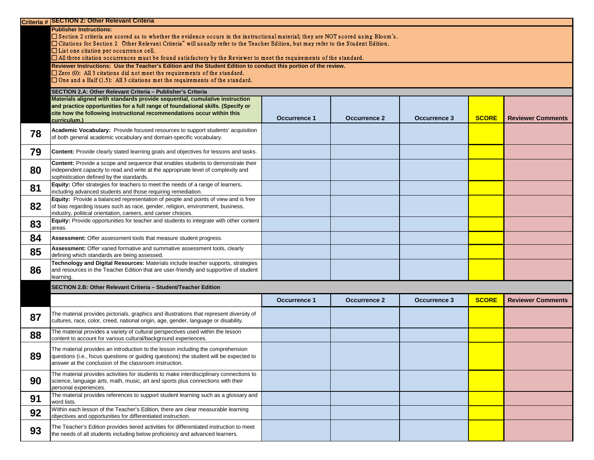|    | <b>Criteria # SECTION 2: Other Relevant Criteria</b>                                                                                                                                                                                                                                                                                                                                                                                                                                             |                     |                     |                     |              |                          |
|----|--------------------------------------------------------------------------------------------------------------------------------------------------------------------------------------------------------------------------------------------------------------------------------------------------------------------------------------------------------------------------------------------------------------------------------------------------------------------------------------------------|---------------------|---------------------|---------------------|--------------|--------------------------|
|    | <b>Publisher Instructions:</b><br>$\Box$ Section 2 criteria are scored as to whether the evidence occurs in the instructional material; they are NOT scored using Bloom's.<br>□ Citations for Section 2 Other Relevant Criteria" will usually refer to the Teacher Edition, but may refer to the Student Edition.<br>$\Box$ List one citation per occurrence cell.<br>$\Box$ All three citation occurrences must be found satisfactory by the Reviewer to meet the requirements of the standard. |                     |                     |                     |              |                          |
|    |                                                                                                                                                                                                                                                                                                                                                                                                                                                                                                  |                     |                     |                     |              |                          |
|    | Reviewer Instructions: Use the Teacher's Edition and the Student Edition to conduct this portion of the review.<br>$\Box$ Zero (0): All 3 citations did not meet the requirements of the standard.<br>$\Box$ One and a Half (1.5): All 3 citations met the requirements of the standard.                                                                                                                                                                                                         |                     |                     |                     |              |                          |
|    | SECTION 2.A: Other Relevant Criteria - Publisher's Criteria                                                                                                                                                                                                                                                                                                                                                                                                                                      |                     |                     |                     |              |                          |
|    | Materials aligned with standards provide sequential, cumulative instruction                                                                                                                                                                                                                                                                                                                                                                                                                      |                     |                     |                     |              |                          |
|    | and practice opportunities for a full range of foundational skills. (Specify or                                                                                                                                                                                                                                                                                                                                                                                                                  |                     |                     |                     |              |                          |
|    | cite how the following instructional recommendations occur within this                                                                                                                                                                                                                                                                                                                                                                                                                           |                     |                     |                     |              |                          |
|    | curriculum.)                                                                                                                                                                                                                                                                                                                                                                                                                                                                                     | <b>Occurrence 1</b> | <b>Occurrence 2</b> | <b>Occurrence 3</b> | <b>SCORE</b> | <b>Reviewer Comments</b> |
| 78 | Academic Vocabulary: Provide focused resources to support students' acquisition<br>of both general academic vocabulary and domain-specific vocabulary.                                                                                                                                                                                                                                                                                                                                           |                     |                     |                     |              |                          |
| 79 | <b>Content:</b> Provide clearly stated learning goals and objectives for lessons and tasks.                                                                                                                                                                                                                                                                                                                                                                                                      |                     |                     |                     |              |                          |
| 80 | Content: Provide a scope and sequence that enables students to demonstrate their<br>independent capacity to read and write at the appropriate level of complexity and<br>sophistication defined by the standards.                                                                                                                                                                                                                                                                                |                     |                     |                     |              |                          |
| 81 | <b>Equity:</b> Offer strategies for teachers to meet the needs of a range of learners,<br>including advanced students and those requiring remediation.                                                                                                                                                                                                                                                                                                                                           |                     |                     |                     |              |                          |
| 82 | Equity: Provide a balanced representation of people and points of view and is free<br>of bias regarding issues such as race, gender, religion, environment, business,<br>industry, political orientation, careers, and career choices.                                                                                                                                                                                                                                                           |                     |                     |                     |              |                          |
| 83 | Equity: Provide opportunities for teacher and students to integrate with other content<br>areas.                                                                                                                                                                                                                                                                                                                                                                                                 |                     |                     |                     |              |                          |
| 84 | Assessment: Offer assessment tools that measure student progress.                                                                                                                                                                                                                                                                                                                                                                                                                                |                     |                     |                     |              |                          |
| 85 | Assessment: Offer varied formative and summative assessment tools, clearly<br>defining which standards are being assessed.                                                                                                                                                                                                                                                                                                                                                                       |                     |                     |                     |              |                          |
| 86 | Technology and Digital Resources: Materials include teacher supports, strategies<br>and resources in the Teacher Edition that are user-friendly and supportive of student<br>learning.                                                                                                                                                                                                                                                                                                           |                     |                     |                     |              |                          |
|    | SECTION 2.B: Other Relevant Criteria - Student/Teacher Edition                                                                                                                                                                                                                                                                                                                                                                                                                                   |                     |                     |                     |              |                          |
|    |                                                                                                                                                                                                                                                                                                                                                                                                                                                                                                  | <b>Occurrence 1</b> | <b>Occurrence 2</b> | <b>Occurrence 3</b> | <b>SCORE</b> | <b>Reviewer Comments</b> |
| 87 | The material provides pictorials, graphics and illustrations that represent diversity of<br>cultures, race, color, creed, national origin, age, gender, language or disability.                                                                                                                                                                                                                                                                                                                  |                     |                     |                     |              |                          |
| 88 | The material provides a variety of cultural perspectives used within the lesson<br>content to account for various cultural/background experiences.                                                                                                                                                                                                                                                                                                                                               |                     |                     |                     |              |                          |
| 89 | The material provides an introduction to the lesson including the comprehension<br>questions (i.e., focus questions or guiding questions) the student will be expected to<br>answer at the conclusion of the classroom instruction.                                                                                                                                                                                                                                                              |                     |                     |                     |              |                          |
| 90 | The material provides activities for students to make interdisciplinary connections to<br>science, language arts, math, music, art and sports plus connections with their<br>personal experiences.                                                                                                                                                                                                                                                                                               |                     |                     |                     |              |                          |
| 91 | The material provides references to support student learning such as a glossary and<br>word lists.                                                                                                                                                                                                                                                                                                                                                                                               |                     |                     |                     |              |                          |
| 92 | Within each lesson of the Teacher's Edition, there are clear measurable learning<br>objectives and opportunities for differentiated instruction.                                                                                                                                                                                                                                                                                                                                                 |                     |                     |                     |              |                          |
| 93 | The Teacher's Edition provides tiered activities for differentiated instruction to meet<br>the needs of all students including below proficiency and advanced learners.                                                                                                                                                                                                                                                                                                                          |                     |                     |                     |              |                          |

| <b>SCORE</b> | <b>Reviewer Comments</b> |
|--------------|--------------------------|
|              |                          |
|              |                          |
|              |                          |
|              |                          |
|              |                          |
|              |                          |
|              |                          |
|              |                          |
|              |                          |

| <b>SCORE</b> | <b>Reviewer Comments</b> |
|--------------|--------------------------|
|              |                          |
|              |                          |
|              |                          |
|              |                          |
|              |                          |
|              |                          |
|              |                          |
|              |                          |
|              |                          |